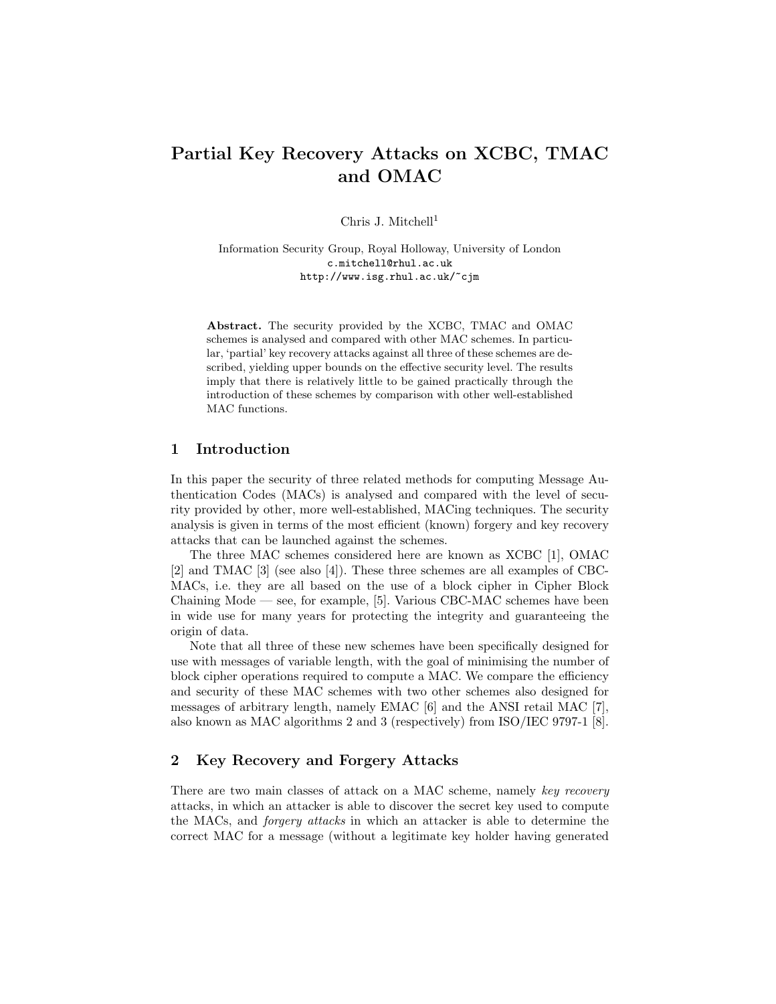# Partial Key Recovery Attacks on XCBC, TMAC and OMAC

Chris J. Mitchell<sup>1</sup>

Information Security Group, Royal Holloway, University of London c.mitchell@rhul.ac.uk http://www.isg.rhul.ac.uk/~cjm

Abstract. The security provided by the XCBC, TMAC and OMAC schemes is analysed and compared with other MAC schemes. In particular, 'partial' key recovery attacks against all three of these schemes are described, yielding upper bounds on the effective security level. The results imply that there is relatively little to be gained practically through the introduction of these schemes by comparison with other well-established MAC functions.

# 1 Introduction

In this paper the security of three related methods for computing Message Authentication Codes (MACs) is analysed and compared with the level of security provided by other, more well-established, MACing techniques. The security analysis is given in terms of the most efficient (known) forgery and key recovery attacks that can be launched against the schemes.

The three MAC schemes considered here are known as XCBC [1], OMAC [2] and TMAC [3] (see also [4]). These three schemes are all examples of CBC-MACs, i.e. they are all based on the use of a block cipher in Cipher Block Chaining Mode — see, for example, [5]. Various CBC-MAC schemes have been in wide use for many years for protecting the integrity and guaranteeing the origin of data.

Note that all three of these new schemes have been specifically designed for use with messages of variable length, with the goal of minimising the number of block cipher operations required to compute a MAC. We compare the efficiency and security of these MAC schemes with two other schemes also designed for messages of arbitrary length, namely EMAC [6] and the ANSI retail MAC [7], also known as MAC algorithms 2 and 3 (respectively) from ISO/IEC 9797-1 [8].

# 2 Key Recovery and Forgery Attacks

There are two main classes of attack on a MAC scheme, namely key recovery attacks, in which an attacker is able to discover the secret key used to compute the MACs, and forgery attacks in which an attacker is able to determine the correct MAC for a message (without a legitimate key holder having generated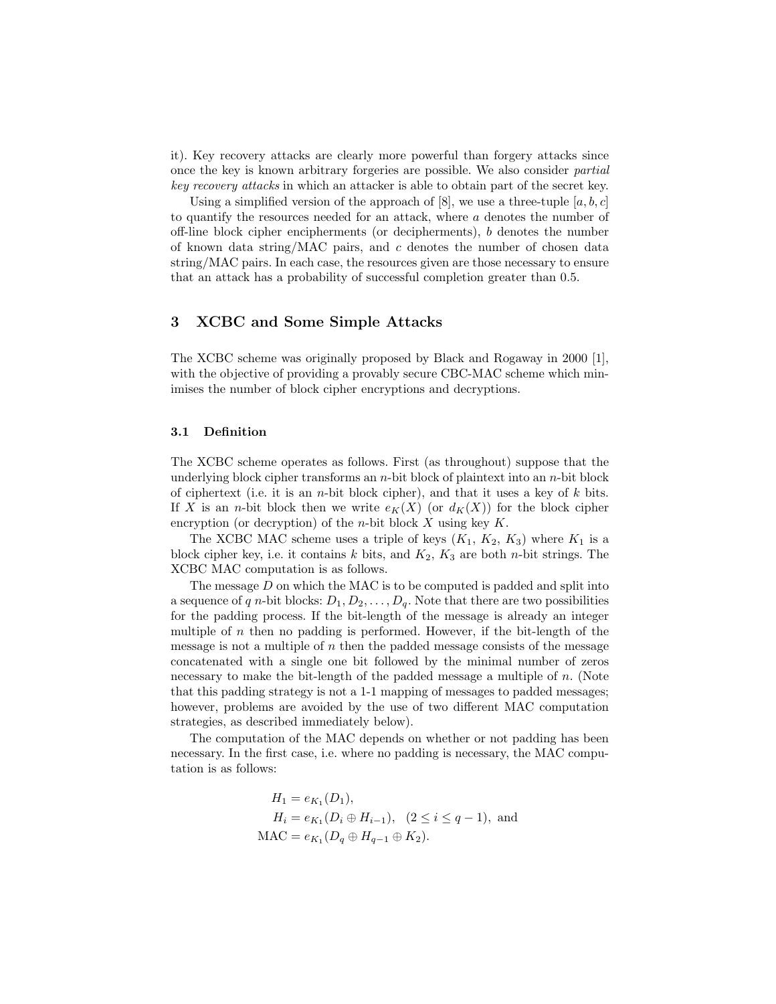it). Key recovery attacks are clearly more powerful than forgery attacks since once the key is known arbitrary forgeries are possible. We also consider partial key recovery attacks in which an attacker is able to obtain part of the secret key.

Using a simplified version of the approach of  $[8]$ , we use a three-tuple  $[a, b, c]$ to quantify the resources needed for an attack, where a denotes the number of off-line block cipher encipherments (or decipherments), b denotes the number of known data string/MAC pairs, and  $c$  denotes the number of chosen data string/MAC pairs. In each case, the resources given are those necessary to ensure that an attack has a probability of successful completion greater than 0.5.

# 3 XCBC and Some Simple Attacks

The XCBC scheme was originally proposed by Black and Rogaway in 2000 [1], with the objective of providing a provably secure CBC-MAC scheme which minimises the number of block cipher encryptions and decryptions.

### 3.1 Definition

The XCBC scheme operates as follows. First (as throughout) suppose that the underlying block cipher transforms an  $n$ -bit block of plaintext into an  $n$ -bit block of ciphertext (i.e. it is an *n*-bit block cipher), and that it uses a key of  $k$  bits. If X is an *n*-bit block then we write  $e_K(X)$  (or  $d_K(X)$ ) for the block cipher encryption (or decryption) of the *n*-bit block  $X$  using key  $K$ .

The XCBC MAC scheme uses a triple of keys  $(K_1, K_2, K_3)$  where  $K_1$  is a block cipher key, i.e. it contains  $k$  bits, and  $K_2$ ,  $K_3$  are both *n*-bit strings. The XCBC MAC computation is as follows.

The message  $D$  on which the MAC is to be computed is padded and split into a sequence of q n-bit blocks:  $D_1, D_2, \ldots, D_q$ . Note that there are two possibilities for the padding process. If the bit-length of the message is already an integer multiple of  $n$  then no padding is performed. However, if the bit-length of the message is not a multiple of  $n$  then the padded message consists of the message concatenated with a single one bit followed by the minimal number of zeros necessary to make the bit-length of the padded message a multiple of  $n$ . (Note that this padding strategy is not a 1-1 mapping of messages to padded messages; however, problems are avoided by the use of two different MAC computation strategies, as described immediately below).

The computation of the MAC depends on whether or not padding has been necessary. In the first case, i.e. where no padding is necessary, the MAC computation is as follows:

$$
H_1 = e_{K_1}(D_1),
$$
  
\n
$$
H_i = e_{K_1}(D_i \oplus H_{i-1}), \quad (2 \le i \le q-1),
$$
 and  
\n
$$
MAC = e_{K_1}(D_q \oplus H_{q-1} \oplus K_2).
$$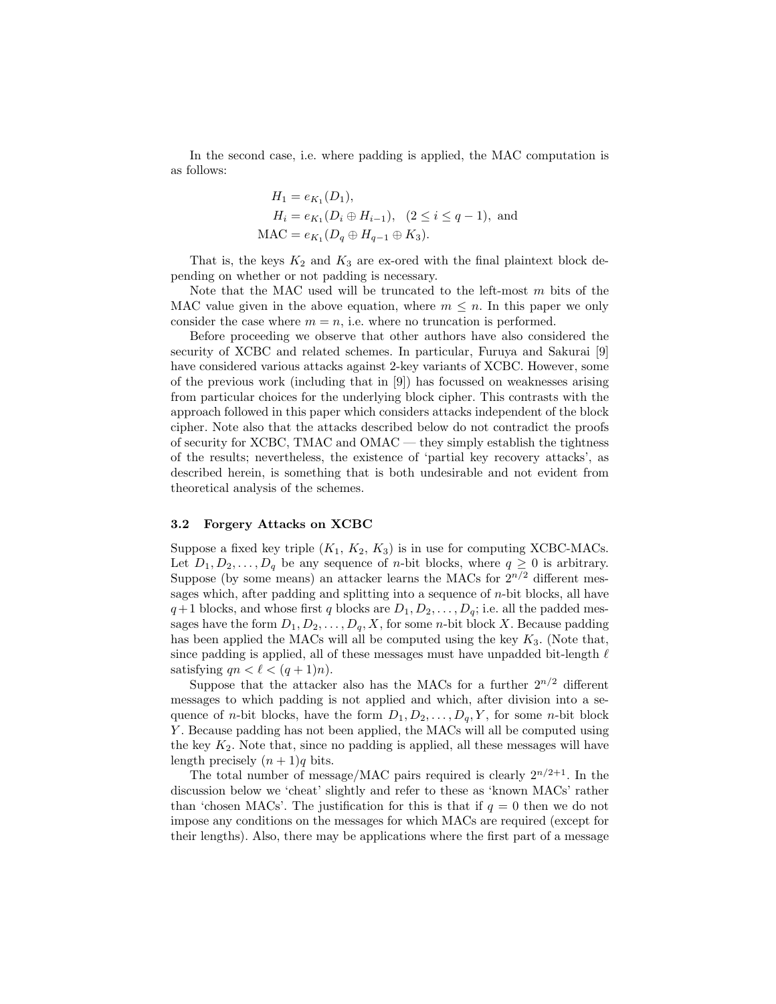In the second case, i.e. where padding is applied, the MAC computation is as follows:

$$
H_1 = e_{K_1}(D_1),
$$
  
\n
$$
H_i = e_{K_1}(D_i \oplus H_{i-1}), \quad (2 \le i \le q-1),
$$
 and  
\n
$$
MAC = e_{K_1}(D_q \oplus H_{q-1} \oplus K_3).
$$

That is, the keys  $K_2$  and  $K_3$  are ex-ored with the final plaintext block depending on whether or not padding is necessary.

Note that the MAC used will be truncated to the left-most m bits of the MAC value given in the above equation, where  $m \leq n$ . In this paper we only consider the case where  $m = n$ , i.e. where no truncation is performed.

Before proceeding we observe that other authors have also considered the security of XCBC and related schemes. In particular, Furuya and Sakurai [9] have considered various attacks against 2-key variants of XCBC. However, some of the previous work (including that in [9]) has focussed on weaknesses arising from particular choices for the underlying block cipher. This contrasts with the approach followed in this paper which considers attacks independent of the block cipher. Note also that the attacks described below do not contradict the proofs of security for XCBC, TMAC and OMAC — they simply establish the tightness of the results; nevertheless, the existence of 'partial key recovery attacks', as described herein, is something that is both undesirable and not evident from theoretical analysis of the schemes.

#### 3.2 Forgery Attacks on XCBC

Suppose a fixed key triple  $(K_1, K_2, K_3)$  is in use for computing XCBC-MACs. Let  $D_1, D_2, \ldots, D_q$  be any sequence of *n*-bit blocks, where  $q \geq 0$  is arbitrary. Suppose (by some means) an attacker learns the MACs for  $2^{n/2}$  different messages which, after padding and splitting into a sequence of  $n$ -bit blocks, all have  $q+1$  blocks, and whose first q blocks are  $D_1, D_2, \ldots, D_q$ ; i.e. all the padded messages have the form  $D_1, D_2, \ldots, D_q, X$ , for some *n*-bit block X. Because padding has been applied the MACs will all be computed using the key  $K_3$ . (Note that, since padding is applied, all of these messages must have unpadded bit-length  $\ell$ satisfying  $qn < \ell < (q + 1)n$ .

Suppose that the attacker also has the MACs for a further  $2^{n/2}$  different messages to which padding is not applied and which, after division into a sequence of *n*-bit blocks, have the form  $D_1, D_2, \ldots, D_q, Y$ , for some *n*-bit block Y . Because padding has not been applied, the MACs will all be computed using the key  $K_2$ . Note that, since no padding is applied, all these messages will have length precisely  $(n + 1)q$  bits.

The total number of message/MAC pairs required is clearly  $2^{n/2+1}$ . In the discussion below we 'cheat' slightly and refer to these as 'known MACs' rather than 'chosen MACs'. The justification for this is that if  $q = 0$  then we do not impose any conditions on the messages for which MACs are required (except for their lengths). Also, there may be applications where the first part of a message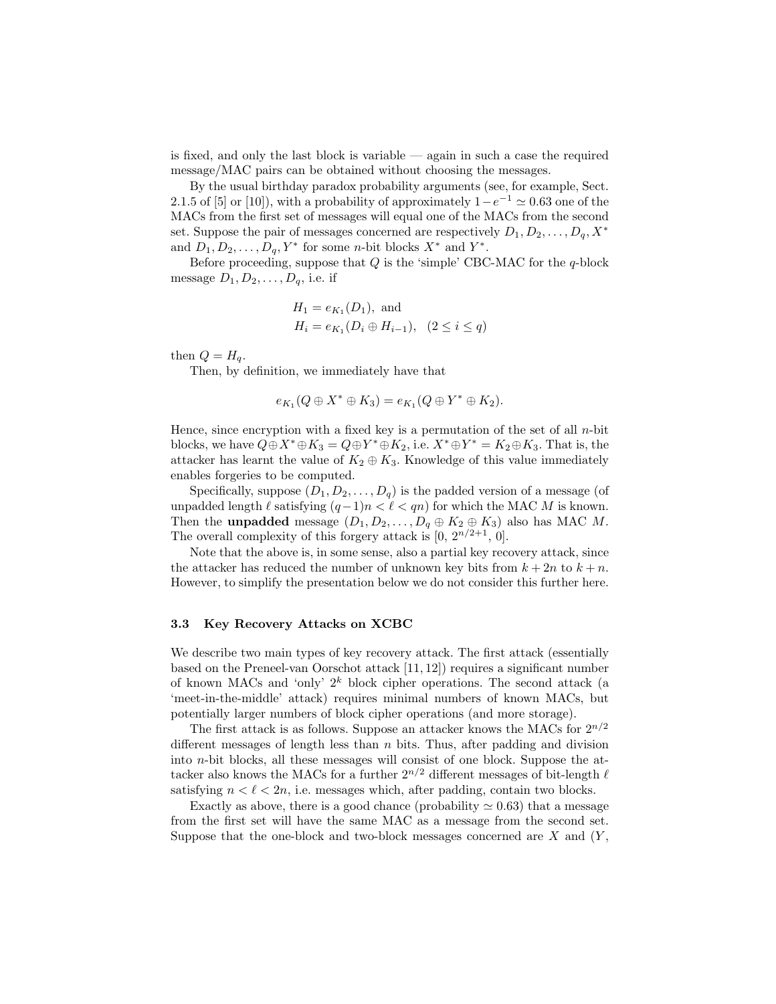is fixed, and only the last block is variable — again in such a case the required message/MAC pairs can be obtained without choosing the messages.

By the usual birthday paradox probability arguments (see, for example, Sect. 2.1.5 of [5] or [10]), with a probability of approximately  $1 - e^{-1} \simeq 0.63$  one of the MACs from the first set of messages will equal one of the MACs from the second set. Suppose the pair of messages concerned are respectively  $D_1, D_2, \ldots, D_q, X^*$ and  $D_1, D_2, \ldots, D_q, Y^*$  for some *n*-bit blocks  $X^*$  and  $Y^*$ .

Before proceeding, suppose that  $Q$  is the 'simple' CBC-MAC for the  $q$ -block message  $D_1, D_2, \ldots, D_q$ , i.e. if

$$
H_1 = e_{K_1}(D_1), \text{ and}
$$
  
\n
$$
H_i = e_{K_1}(D_i \oplus H_{i-1}), \quad (2 \le i \le q)
$$

then  $Q = H_q$ .

Then, by definition, we immediately have that

$$
e_{K_1}(Q \oplus X^* \oplus K_3) = e_{K_1}(Q \oplus Y^* \oplus K_2).
$$

Hence, since encryption with a fixed key is a permutation of the set of all  $n$ -bit blocks, we have  $Q \oplus X^* \oplus K_3 = Q \oplus Y^* \oplus K_2$ , i.e.  $X^* \oplus Y^* = K_2 \oplus K_3$ . That is, the attacker has learnt the value of  $K_2 \oplus K_3$ . Knowledge of this value immediately enables forgeries to be computed.

Specifically, suppose  $(D_1, D_2, \ldots, D_q)$  is the padded version of a message (of unpadded length  $\ell$  satisfying  $(q-1)n < \ell < qn$  for which the MAC M is known. Then the **unpadded** message  $(D_1, D_2, \ldots, D_q \oplus K_2 \oplus K_3)$  also has MAC M. The overall complexity of this forgery attack is  $[0, 2^{n/2+1}, 0]$ .

Note that the above is, in some sense, also a partial key recovery attack, since the attacker has reduced the number of unknown key bits from  $k + 2n$  to  $k + n$ . However, to simplify the presentation below we do not consider this further here.

#### 3.3 Key Recovery Attacks on XCBC

We describe two main types of key recovery attack. The first attack (essentially based on the Preneel-van Oorschot attack [11, 12]) requires a significant number of known MACs and 'only'  $2^k$  block cipher operations. The second attack (a 'meet-in-the-middle' attack) requires minimal numbers of known MACs, but potentially larger numbers of block cipher operations (and more storage).

The first attack is as follows. Suppose an attacker knows the MACs for  $2^{n/2}$ different messages of length less than  $n$  bits. Thus, after padding and division into n-bit blocks, all these messages will consist of one block. Suppose the attacker also knows the MACs for a further  $2^{n/2}$  different messages of bit-length  $\ell$ satisfying  $n < \ell < 2n$ , i.e. messages which, after padding, contain two blocks.

Exactly as above, there is a good chance (probability  $\approx 0.63$ ) that a message from the first set will have the same MAC as a message from the second set. Suppose that the one-block and two-block messages concerned are  $X$  and  $(Y, \cdot)$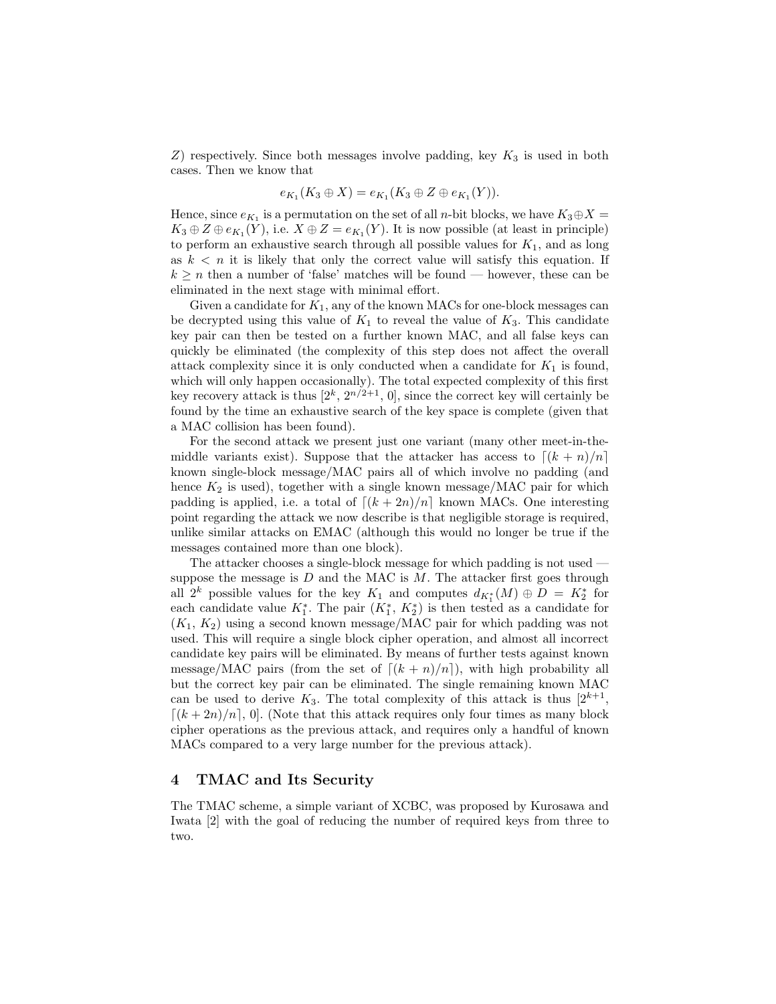$Z$ ) respectively. Since both messages involve padding, key  $K_3$  is used in both cases. Then we know that

$$
e_{K_1}(K_3 \oplus X) = e_{K_1}(K_3 \oplus Z \oplus e_{K_1}(Y)).
$$

Hence, since  $e_{K_1}$  is a permutation on the set of all *n*-bit blocks, we have  $K_3 \oplus X =$  $K_3 \oplus Z \oplus e_{K_1}(Y)$ , i.e.  $X \oplus Z = e_{K_1}(Y)$ . It is now possible (at least in principle) to perform an exhaustive search through all possible values for  $K_1$ , and as long as  $k < n$  it is likely that only the correct value will satisfy this equation. If  $k \geq n$  then a number of 'false' matches will be found — however, these can be eliminated in the next stage with minimal effort.

Given a candidate for  $K_1$ , any of the known MACs for one-block messages can be decrypted using this value of  $K_1$  to reveal the value of  $K_3$ . This candidate key pair can then be tested on a further known MAC, and all false keys can quickly be eliminated (the complexity of this step does not affect the overall attack complexity since it is only conducted when a candidate for  $K_1$  is found, which will only happen occasionally). The total expected complexity of this first key recovery attack is thus  $[2^k, 2^{n/2+1}, 0]$ , since the correct key will certainly be found by the time an exhaustive search of the key space is complete (given that a MAC collision has been found).

For the second attack we present just one variant (many other meet-in-themiddle variants exist). Suppose that the attacker has access to  $\lfloor (k + n)/n \rfloor$ known single-block message/MAC pairs all of which involve no padding (and hence  $K_2$  is used), together with a single known message/MAC pair for which padding is applied, i.e. a total of  $\lfloor (k + 2n)/n \rfloor$  known MACs. One interesting point regarding the attack we now describe is that negligible storage is required, unlike similar attacks on EMAC (although this would no longer be true if the messages contained more than one block).

The attacker chooses a single-block message for which padding is not used suppose the message is  $D$  and the MAC is  $M$ . The attacker first goes through all  $2^k$  possible values for the key  $K_1$  and computes  $d_{K_1^*}(M) \oplus D = K_2^*$  for each candidate value  $K_1^*$ . The pair  $(K_1^*, K_2^*)$  is then tested as a candidate for  $(K_1, K_2)$  using a second known message/MAC pair for which padding was not used. This will require a single block cipher operation, and almost all incorrect candidate key pairs will be eliminated. By means of further tests against known message/MAC pairs (from the set of  $[(k + n)/n]$ ), with high probability all but the correct key pair can be eliminated. The single remaining known MAC can be used to derive  $K_3$ . The total complexity of this attack is thus  $[2^{k+1},$  $[(k+2n)/n]$ , 0]. (Note that this attack requires only four times as many block cipher operations as the previous attack, and requires only a handful of known MACs compared to a very large number for the previous attack).

# 4 TMAC and Its Security

The TMAC scheme, a simple variant of XCBC, was proposed by Kurosawa and Iwata [2] with the goal of reducing the number of required keys from three to two.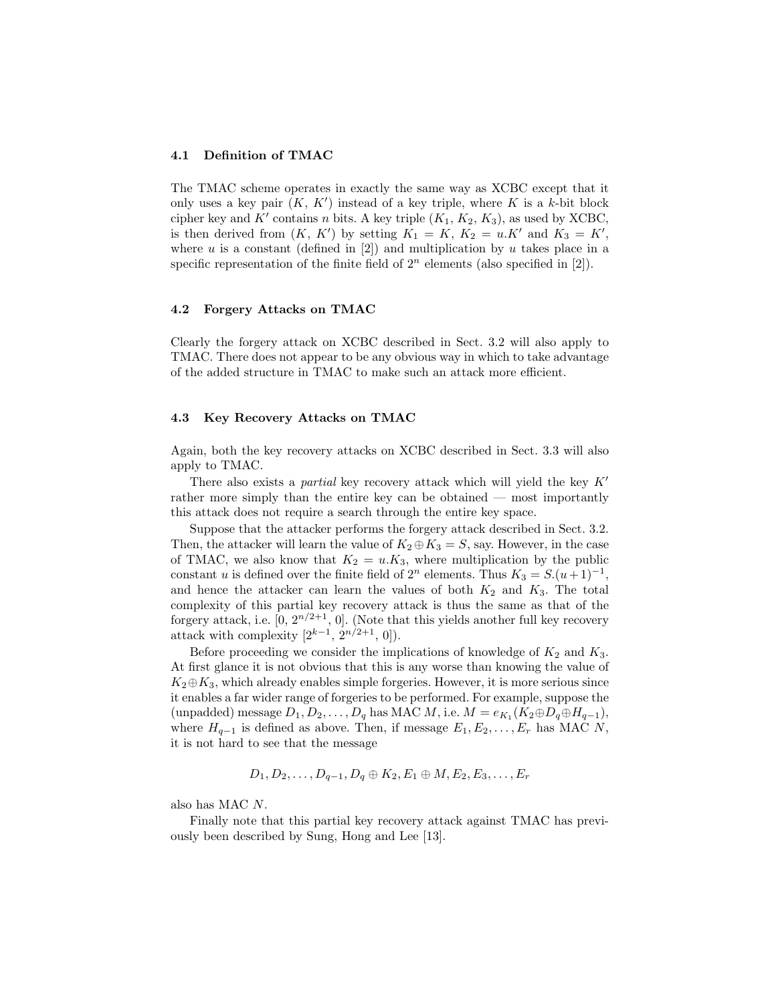#### 4.1 Definition of TMAC

The TMAC scheme operates in exactly the same way as XCBC except that it only uses a key pair  $(K, K')$  instead of a key triple, where K is a k-bit block cipher key and  $K'$  contains n bits. A key triple  $(K_1, K_2, K_3)$ , as used by XCBC, is then derived from  $(K, K')$  by setting  $K_1 = K, K_2 = u.K'$  and  $K_3 = K'$ , where  $u$  is a constant (defined in  $[2]$ ) and multiplication by  $u$  takes place in a specific representation of the finite field of  $2<sup>n</sup>$  elements (also specified in [2]).

#### 4.2 Forgery Attacks on TMAC

Clearly the forgery attack on XCBC described in Sect. 3.2 will also apply to TMAC. There does not appear to be any obvious way in which to take advantage of the added structure in TMAC to make such an attack more efficient.

### 4.3 Key Recovery Attacks on TMAC

Again, both the key recovery attacks on XCBC described in Sect. 3.3 will also apply to TMAC.

There also exists a *partial* key recovery attack which will yield the key  $K'$ rather more simply than the entire key can be obtained — most importantly this attack does not require a search through the entire key space.

Suppose that the attacker performs the forgery attack described in Sect. 3.2. Then, the attacker will learn the value of  $K_2 \oplus K_3 = S$ , say. However, in the case of TMAC, we also know that  $K_2 = u.K_3$ , where multiplication by the public constant u is defined over the finite field of  $2^n$  elements. Thus  $K_3 = S.(u+1)^{-1}$ , and hence the attacker can learn the values of both  $K_2$  and  $K_3$ . The total complexity of this partial key recovery attack is thus the same as that of the forgery attack, i.e.  $[0, 2^{n/2+1}, 0]$ . (Note that this yields another full key recovery attack with complexity  $[2^{k-1}, 2^{n/2+1}, 0]$ .

Before proceeding we consider the implications of knowledge of  $K_2$  and  $K_3$ . At first glance it is not obvious that this is any worse than knowing the value of  $K_2 \oplus K_3$ , which already enables simple forgeries. However, it is more serious since it enables a far wider range of forgeries to be performed. For example, suppose the (unpadded) message  $D_1, D_2, \ldots, D_q$  has MAC  $M$ , i.e.  $M = e_{K_1}(K_2 \oplus D_q \oplus H_{q-1}),$ where  $H_{q-1}$  is defined as above. Then, if message  $E_1, E_2, \ldots, E_r$  has MAC N, it is not hard to see that the message

$$
D_1, D_2, \ldots, D_{q-1}, D_q \oplus K_2, E_1 \oplus M, E_2, E_3, \ldots, E_r
$$

also has MAC N.

Finally note that this partial key recovery attack against TMAC has previously been described by Sung, Hong and Lee [13].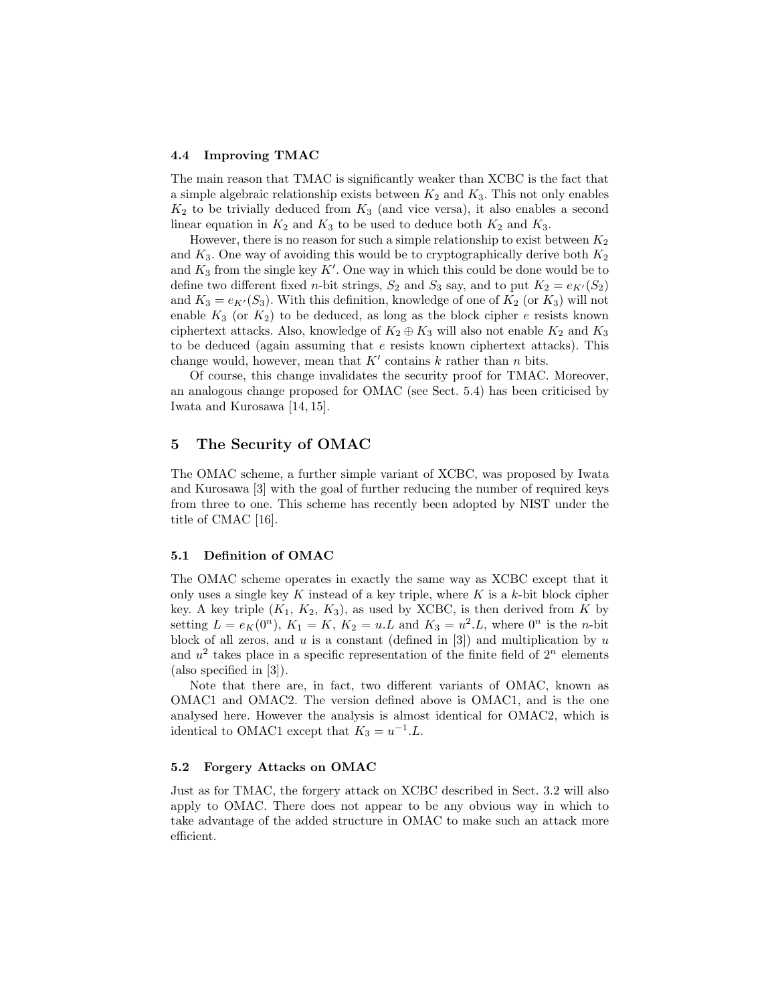#### 4.4 Improving TMAC

The main reason that TMAC is significantly weaker than XCBC is the fact that a simple algebraic relationship exists between  $K_2$  and  $K_3$ . This not only enables  $K_2$  to be trivially deduced from  $K_3$  (and vice versa), it also enables a second linear equation in  $K_2$  and  $K_3$  to be used to deduce both  $K_2$  and  $K_3$ .

However, there is no reason for such a simple relationship to exist between  $K_2$ and  $K_3$ . One way of avoiding this would be to cryptographically derive both  $K_2$ and  $K_3$  from the single key  $K'$ . One way in which this could be done would be to define two different fixed *n*-bit strings,  $S_2$  and  $S_3$  say, and to put  $K_2 = e_{K'}(S_2)$ and  $K_3 = e_{K'}(S_3)$ . With this definition, knowledge of one of  $K_2$  (or  $K_3$ ) will not enable  $K_3$  (or  $K_2$ ) to be deduced, as long as the block cipher e resists known ciphertext attacks. Also, knowledge of  $K_2 \oplus K_3$  will also not enable  $K_2$  and  $K_3$ to be deduced (again assuming that  $e$  resists known ciphertext attacks). This change would, however, mean that  $K'$  contains k rather than n bits.

Of course, this change invalidates the security proof for TMAC. Moreover, an analogous change proposed for OMAC (see Sect. 5.4) has been criticised by Iwata and Kurosawa [14, 15].

# 5 The Security of OMAC

The OMAC scheme, a further simple variant of XCBC, was proposed by Iwata and Kurosawa [3] with the goal of further reducing the number of required keys from three to one. This scheme has recently been adopted by NIST under the title of CMAC [16].

#### 5.1 Definition of OMAC

The OMAC scheme operates in exactly the same way as XCBC except that it only uses a single key K instead of a key triple, where K is a k-bit block cipher key. A key triple  $(K_1, K_2, K_3)$ , as used by XCBC, is then derived from K by setting  $L = e_K(0^n)$ ,  $K_1 = K$ ,  $K_2 = u.L$  and  $K_3 = u^2.L$ , where  $0^n$  is the *n*-bit block of all zeros, and  $u$  is a constant (defined in [3]) and multiplication by  $u$ and  $u^2$  takes place in a specific representation of the finite field of  $2^n$  elements (also specified in [3]).

Note that there are, in fact, two different variants of OMAC, known as OMAC1 and OMAC2. The version defined above is OMAC1, and is the one analysed here. However the analysis is almost identical for OMAC2, which is identical to OMAC1 except that  $K_3 = u^{-1}.L$ .

### 5.2 Forgery Attacks on OMAC

Just as for TMAC, the forgery attack on XCBC described in Sect. 3.2 will also apply to OMAC. There does not appear to be any obvious way in which to take advantage of the added structure in OMAC to make such an attack more efficient.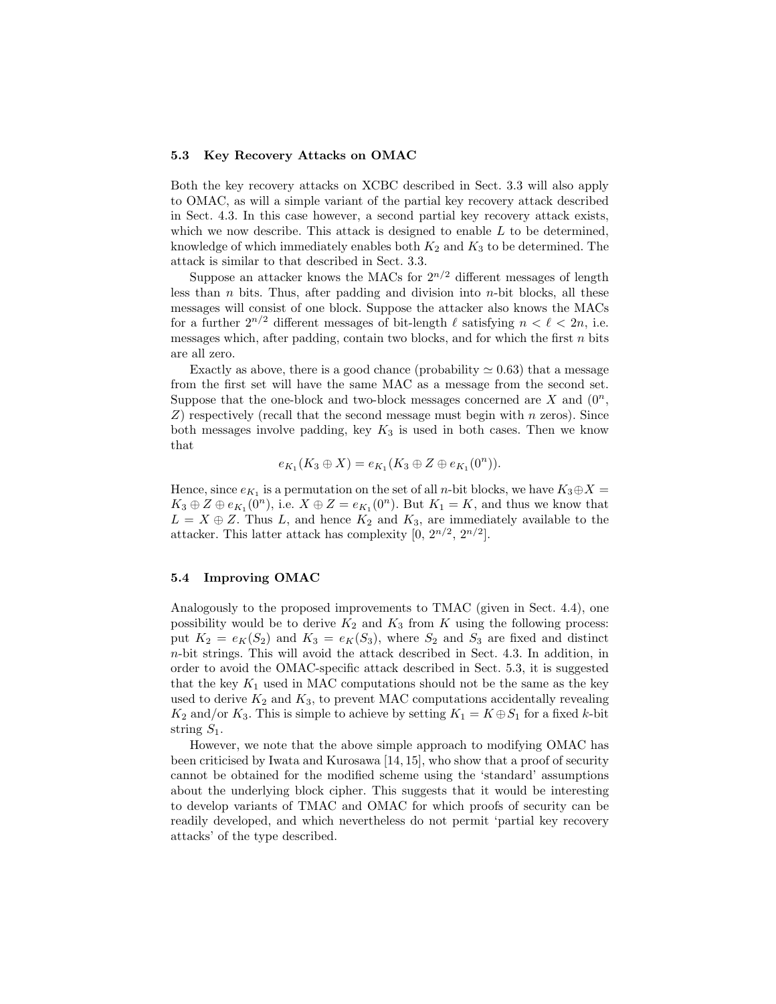#### 5.3 Key Recovery Attacks on OMAC

Both the key recovery attacks on XCBC described in Sect. 3.3 will also apply to OMAC, as will a simple variant of the partial key recovery attack described in Sect. 4.3. In this case however, a second partial key recovery attack exists, which we now describe. This attack is designed to enable  $L$  to be determined, knowledge of which immediately enables both  $K_2$  and  $K_3$  to be determined. The attack is similar to that described in Sect. 3.3.

Suppose an attacker knows the MACs for  $2^{n/2}$  different messages of length less than  $n$  bits. Thus, after padding and division into  $n$ -bit blocks, all these messages will consist of one block. Suppose the attacker also knows the MACs for a further  $2^{n/2}$  different messages of bit-length  $\ell$  satisfying  $n < \ell < 2n$ , i.e. messages which, after padding, contain two blocks, and for which the first  $n$  bits are all zero.

Exactly as above, there is a good chance (probability  $\simeq 0.63$ ) that a message from the first set will have the same MAC as a message from the second set. Suppose that the one-block and two-block messages concerned are X and  $(0^n, \mathcal{L})$  $Z$ ) respectively (recall that the second message must begin with n zeros). Since both messages involve padding, key  $K_3$  is used in both cases. Then we know that

$$
e_{K_1}(K_3 \oplus X) = e_{K_1}(K_3 \oplus Z \oplus e_{K_1}(0^n)).
$$

Hence, since  $e_{K_1}$  is a permutation on the set of all *n*-bit blocks, we have  $K_3 \oplus X =$  $K_3 \oplus Z \oplus e_{K_1}(0^n)$ , i.e.  $X \oplus Z = e_{K_1}(0^n)$ . But  $K_1 = K$ , and thus we know that  $L = X \oplus Z$ . Thus L, and hence  $K_2$  and  $K_3$ , are immediately available to the attacker. This latter attack has complexity  $[0, 2^{n/2}, 2^{n/2}]$ .

#### 5.4 Improving OMAC

Analogously to the proposed improvements to TMAC (given in Sect. 4.4), one possibility would be to derive  $K_2$  and  $K_3$  from K using the following process: put  $K_2 = e_K(S_2)$  and  $K_3 = e_K(S_3)$ , where  $S_2$  and  $S_3$  are fixed and distinct n-bit strings. This will avoid the attack described in Sect. 4.3. In addition, in order to avoid the OMAC-specific attack described in Sect. 5.3, it is suggested that the key  $K_1$  used in MAC computations should not be the same as the key used to derive  $K_2$  and  $K_3$ , to prevent MAC computations accidentally revealing  $K_2$  and/or  $K_3$ . This is simple to achieve by setting  $K_1 = K \oplus S_1$  for a fixed k-bit string  $S_1$ .

However, we note that the above simple approach to modifying OMAC has been criticised by Iwata and Kurosawa [14, 15], who show that a proof of security cannot be obtained for the modified scheme using the 'standard' assumptions about the underlying block cipher. This suggests that it would be interesting to develop variants of TMAC and OMAC for which proofs of security can be readily developed, and which nevertheless do not permit 'partial key recovery attacks' of the type described.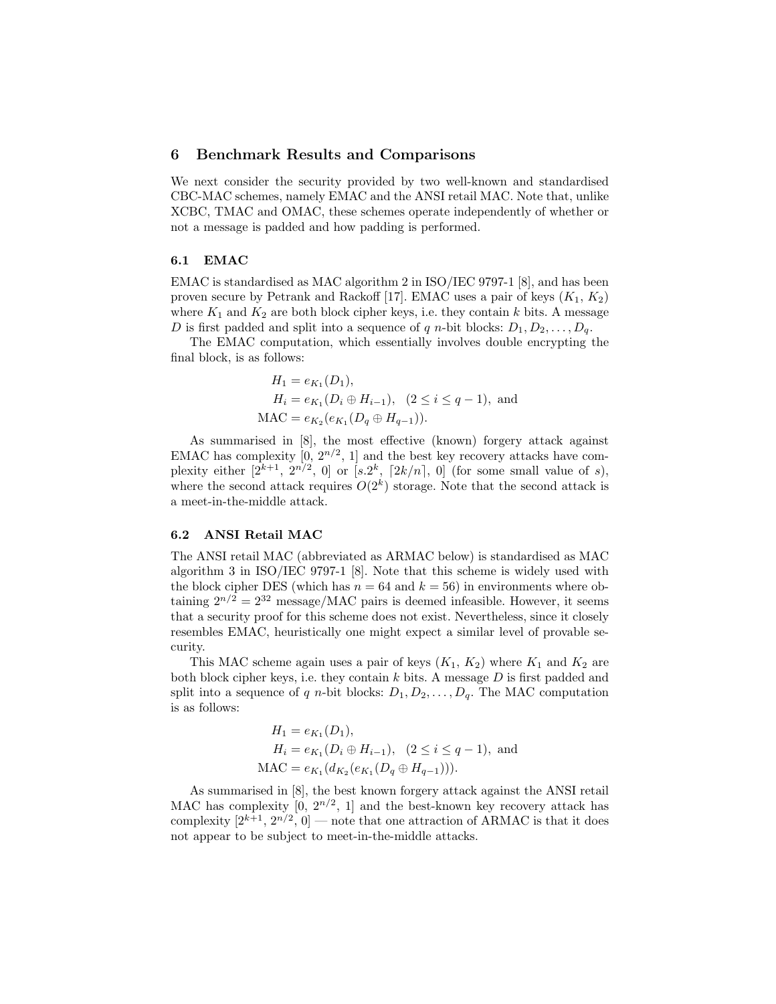# 6 Benchmark Results and Comparisons

We next consider the security provided by two well-known and standardised CBC-MAC schemes, namely EMAC and the ANSI retail MAC. Note that, unlike XCBC, TMAC and OMAC, these schemes operate independently of whether or not a message is padded and how padding is performed.

### 6.1 EMAC

EMAC is standardised as MAC algorithm 2 in ISO/IEC 9797-1 [8], and has been proven secure by Petrank and Rackoff [17]. EMAC uses a pair of keys  $(K_1, K_2)$ where  $K_1$  and  $K_2$  are both block cipher keys, i.e. they contain k bits. A message D is first padded and split into a sequence of q n-bit blocks:  $D_1, D_2, \ldots, D_q$ .

The EMAC computation, which essentially involves double encrypting the final block, is as follows:

$$
H_1 = e_{K_1}(D_1),
$$
  
\n
$$
H_i = e_{K_1}(D_i \oplus H_{i-1}), \quad (2 \le i \le q-1),
$$
 and  
\n
$$
MAC = e_{K_2}(e_{K_1}(D_q \oplus H_{q-1})).
$$

As summarised in [8], the most effective (known) forgery attack against EMAC has complexity  $[0, 2^{n/2}, 1]$  and the best key recovery attacks have complexity either  $[2^{k+1}, 2^{n/2}, 0]$  or  $[s.2^k, [2k/n], 0]$  (for some small value of s), where the second attack requires  $O(2<sup>k</sup>)$  storage. Note that the second attack is a meet-in-the-middle attack.

#### 6.2 ANSI Retail MAC

The ANSI retail MAC (abbreviated as ARMAC below) is standardised as MAC algorithm 3 in ISO/IEC 9797-1 [8]. Note that this scheme is widely used with the block cipher DES (which has  $n = 64$  and  $k = 56$ ) in environments where obtaining  $2^{n/2} = 2^{32}$  message/MAC pairs is deemed infeasible. However, it seems that a security proof for this scheme does not exist. Nevertheless, since it closely resembles EMAC, heuristically one might expect a similar level of provable security.

This MAC scheme again uses a pair of keys  $(K_1, K_2)$  where  $K_1$  and  $K_2$  are both block cipher keys, i.e. they contain  $k$  bits. A message  $D$  is first padded and split into a sequence of q n-bit blocks:  $D_1, D_2, \ldots, D_q$ . The MAC computation is as follows:

$$
H_1 = e_{K_1}(D_1),
$$
  
\n
$$
H_i = e_{K_1}(D_i \oplus H_{i-1}), \quad (2 \le i \le q-1),
$$
 and  
\n
$$
MAC = e_{K_1}(d_{K_2}(e_{K_1}(D_q \oplus H_{q-1}))).
$$

As summarised in [8], the best known forgery attack against the ANSI retail MAC has complexity  $[0, 2^{n/2}, 1]$  and the best-known key recovery attack has complexity  $[2^{k+1}, 2^{n/2}, 0]$  — note that one attraction of ARMAC is that it does not appear to be subject to meet-in-the-middle attacks.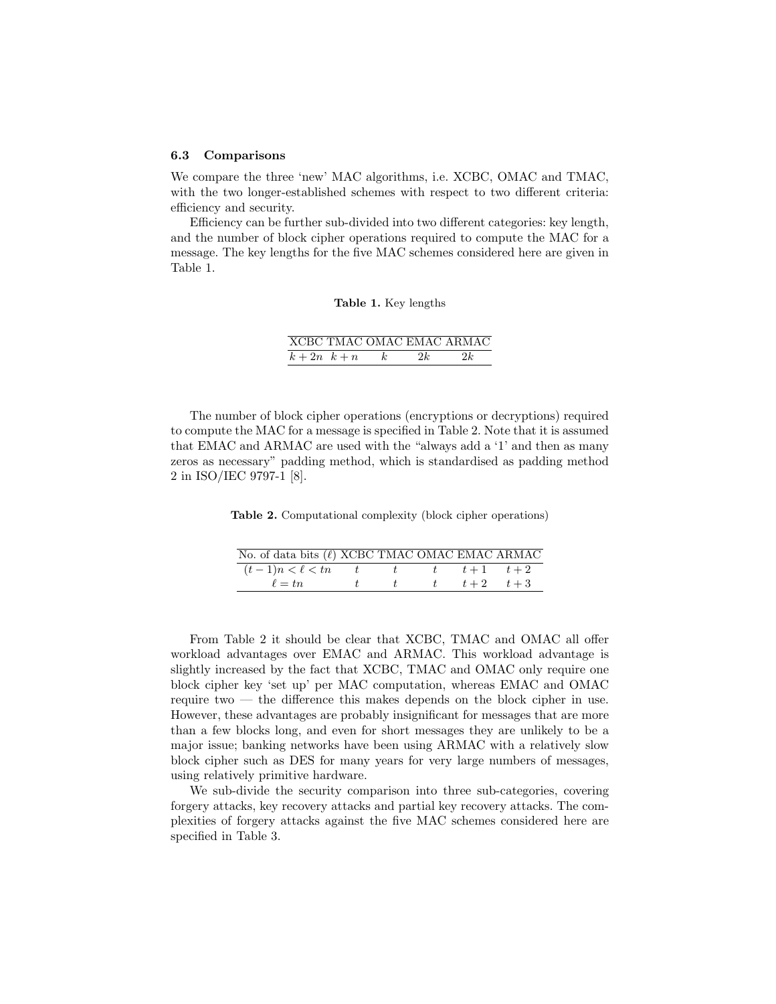#### 6.3 Comparisons

We compare the three 'new' MAC algorithms, i.e. XCBC, OMAC and TMAC, with the two longer-established schemes with respect to two different criteria: efficiency and security.

Efficiency can be further sub-divided into two different categories: key length, and the number of block cipher operations required to compute the MAC for a message. The key lengths for the five MAC schemes considered here are given in Table 1.

#### Table 1. Key lengths

|                |    | XCBC TMAC OMAC EMAC ARMAC |
|----------------|----|---------------------------|
| $k+2n \ \ k+n$ | 2k | 2k                        |

The number of block cipher operations (encryptions or decryptions) required to compute the MAC for a message is specified in Table 2. Note that it is assumed that EMAC and ARMAC are used with the "always add a '1' and then as many zeros as necessary" padding method, which is standardised as padding method 2 in ISO/IEC 9797-1 [8].

Table 2. Computational complexity (block cipher operations)

| No. of data bits $(\ell)$ XCBC TMAC OMAC EMAC ARMAC |   |  |                           |
|-----------------------------------------------------|---|--|---------------------------|
| $(t-1)n < \ell < tn$ $t$                            |   |  | $t \qquad t+1 \qquad t+2$ |
| $\ell = tn$                                         | t |  | t t $t+2$ $t+3$           |

From Table 2 it should be clear that XCBC, TMAC and OMAC all offer workload advantages over EMAC and ARMAC. This workload advantage is slightly increased by the fact that XCBC, TMAC and OMAC only require one block cipher key 'set up' per MAC computation, whereas EMAC and OMAC require two — the difference this makes depends on the block cipher in use. However, these advantages are probably insignificant for messages that are more than a few blocks long, and even for short messages they are unlikely to be a major issue; banking networks have been using ARMAC with a relatively slow block cipher such as DES for many years for very large numbers of messages, using relatively primitive hardware.

We sub-divide the security comparison into three sub-categories, covering forgery attacks, key recovery attacks and partial key recovery attacks. The complexities of forgery attacks against the five MAC schemes considered here are specified in Table 3.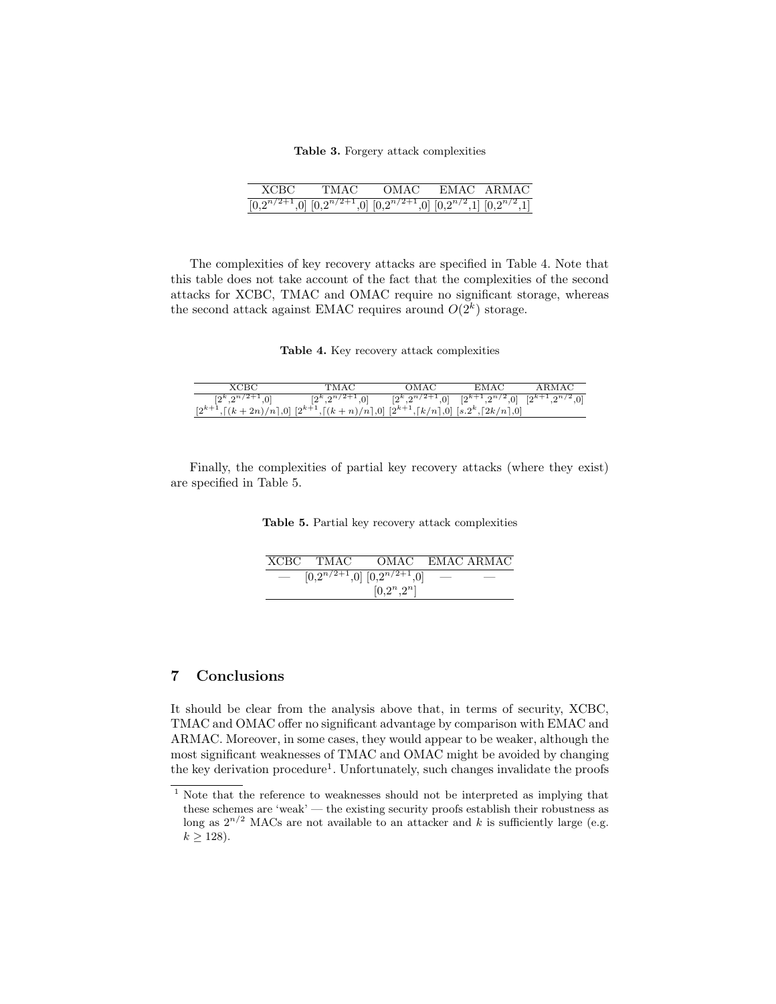#### Table 3. Forgery attack complexities

| хсвс                                                                                          | TMAC | - OMAC - | EMAC ARMAC |
|-----------------------------------------------------------------------------------------------|------|----------|------------|
| $\boxed{[0,2^{n/2+1},0]}$ $[0,2^{n/2+1},0]$ $[0,2^{n/2+1},0]$ $[0,2^{n/2},1]$ $[0,2^{n/2},1]$ |      |          |            |

The complexities of key recovery attacks are specified in Table 4. Note that this table does not take account of the fact that the complexities of the second attacks for XCBC, TMAC and OMAC require no significant storage, whereas the second attack against EMAC requires around  $O(2<sup>k</sup>)$  storage.

Table 4. Key recovery attack complexities

| XCBC                                                                                    | TMAC                              | OMAC | EM AC                                                                 | ARMAC |
|-----------------------------------------------------------------------------------------|-----------------------------------|------|-----------------------------------------------------------------------|-------|
| $[2^k, 2^{n/2+1}, 0]$                                                                   | $[2^k \tcdot 2^{n/2+1} \tcdot 0]$ |      | $[2^k, 2^{n/2+1}, 0]$ $[2^{k+1}, 2^{n/2}, 0]$ $[2^{k+1}, 2^{n/2}, 0]$ |       |
| $[2^{k+1},[(k+2n)/n],0]$ $[2^{k+1},[(k+n)/n],0]$ $[2^{k+1},[k/n],0]$ $[s,2^k,[2k/n],0]$ |                                   |      |                                                                       |       |

Finally, the complexities of partial key recovery attacks (where they exist) are specified in Table 5.

Table 5. Partial key recovery attack complexities

|        | XCBC TMAC | OMAC EMAC ARMAC                     |  |
|--------|-----------|-------------------------------------|--|
| $\sim$ |           | $[0,2^{n/2+1},0]$ $[0,2^{n/2+1},0]$ |  |
|        |           | $[0,2^n,2^n]$                       |  |

# 7 Conclusions

It should be clear from the analysis above that, in terms of security, XCBC, TMAC and OMAC offer no significant advantage by comparison with EMAC and ARMAC. Moreover, in some cases, they would appear to be weaker, although the most significant weaknesses of TMAC and OMAC might be avoided by changing the key derivation procedure<sup>1</sup>. Unfortunately, such changes invalidate the proofs

 $1$  Note that the reference to weaknesses should not be interpreted as implying that these schemes are 'weak' — the existing security proofs establish their robustness as long as  $2^{n/2}$  MACs are not available to an attacker and k is sufficiently large (e.g.  $k \ge 128$ ).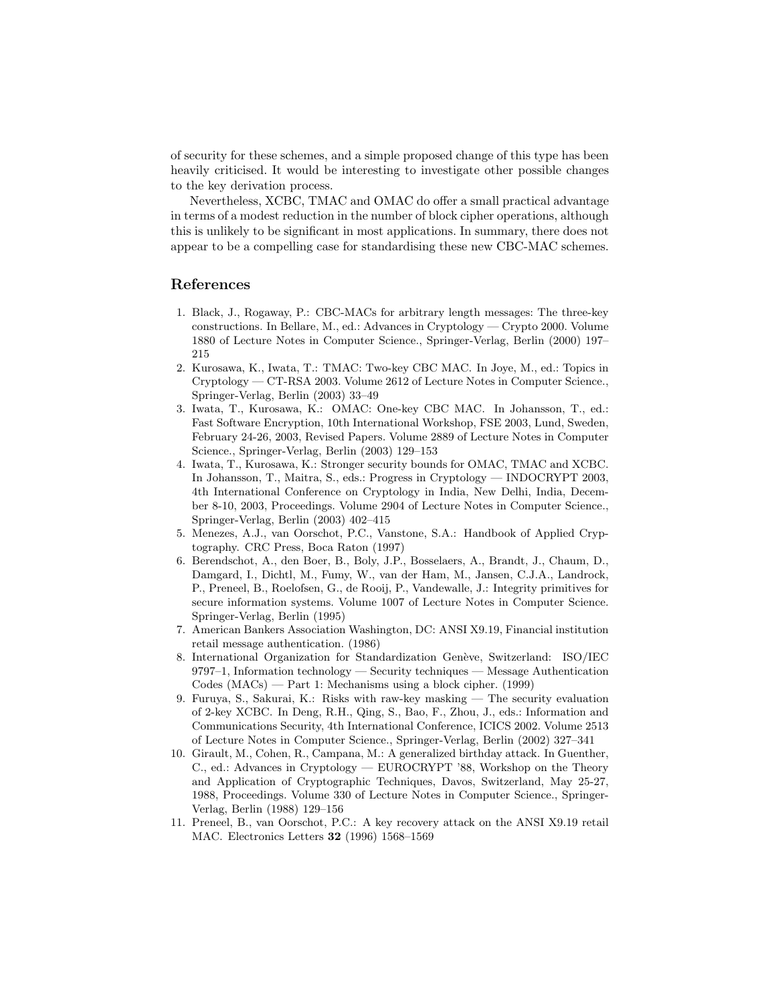of security for these schemes, and a simple proposed change of this type has been heavily criticised. It would be interesting to investigate other possible changes to the key derivation process.

Nevertheless, XCBC, TMAC and OMAC do offer a small practical advantage in terms of a modest reduction in the number of block cipher operations, although this is unlikely to be significant in most applications. In summary, there does not appear to be a compelling case for standardising these new CBC-MAC schemes.

# References

- 1. Black, J., Rogaway, P.: CBC-MACs for arbitrary length messages: The three-key constructions. In Bellare, M., ed.: Advances in Cryptology — Crypto 2000. Volume 1880 of Lecture Notes in Computer Science., Springer-Verlag, Berlin (2000) 197– 215
- 2. Kurosawa, K., Iwata, T.: TMAC: Two-key CBC MAC. In Joye, M., ed.: Topics in Cryptology — CT-RSA 2003. Volume 2612 of Lecture Notes in Computer Science., Springer-Verlag, Berlin (2003) 33–49
- 3. Iwata, T., Kurosawa, K.: OMAC: One-key CBC MAC. In Johansson, T., ed.: Fast Software Encryption, 10th International Workshop, FSE 2003, Lund, Sweden, February 24-26, 2003, Revised Papers. Volume 2889 of Lecture Notes in Computer Science., Springer-Verlag, Berlin (2003) 129–153
- 4. Iwata, T., Kurosawa, K.: Stronger security bounds for OMAC, TMAC and XCBC. In Johansson, T., Maitra, S., eds.: Progress in Cryptology — INDOCRYPT 2003, 4th International Conference on Cryptology in India, New Delhi, India, December 8-10, 2003, Proceedings. Volume 2904 of Lecture Notes in Computer Science., Springer-Verlag, Berlin (2003) 402–415
- 5. Menezes, A.J., van Oorschot, P.C., Vanstone, S.A.: Handbook of Applied Cryptography. CRC Press, Boca Raton (1997)
- 6. Berendschot, A., den Boer, B., Boly, J.P., Bosselaers, A., Brandt, J., Chaum, D., Damgard, I., Dichtl, M., Fumy, W., van der Ham, M., Jansen, C.J.A., Landrock, P., Preneel, B., Roelofsen, G., de Rooij, P., Vandewalle, J.: Integrity primitives for secure information systems. Volume 1007 of Lecture Notes in Computer Science. Springer-Verlag, Berlin (1995)
- 7. American Bankers Association Washington, DC: ANSI X9.19, Financial institution retail message authentication. (1986)
- 8. International Organization for Standardization Genève, Switzerland: ISO/IEC 9797–1, Information technology — Security techniques — Message Authentication Codes (MACs) — Part 1: Mechanisms using a block cipher. (1999)
- 9. Furuya, S., Sakurai, K.: Risks with raw-key masking The security evaluation of 2-key XCBC. In Deng, R.H., Qing, S., Bao, F., Zhou, J., eds.: Information and Communications Security, 4th International Conference, ICICS 2002. Volume 2513 of Lecture Notes in Computer Science., Springer-Verlag, Berlin (2002) 327–341
- 10. Girault, M., Cohen, R., Campana, M.: A generalized birthday attack. In Guenther, C., ed.: Advances in Cryptology — EUROCRYPT '88, Workshop on the Theory and Application of Cryptographic Techniques, Davos, Switzerland, May 25-27, 1988, Proceedings. Volume 330 of Lecture Notes in Computer Science., Springer-Verlag, Berlin (1988) 129–156
- 11. Preneel, B., van Oorschot, P.C.: A key recovery attack on the ANSI X9.19 retail MAC. Electronics Letters 32 (1996) 1568–1569